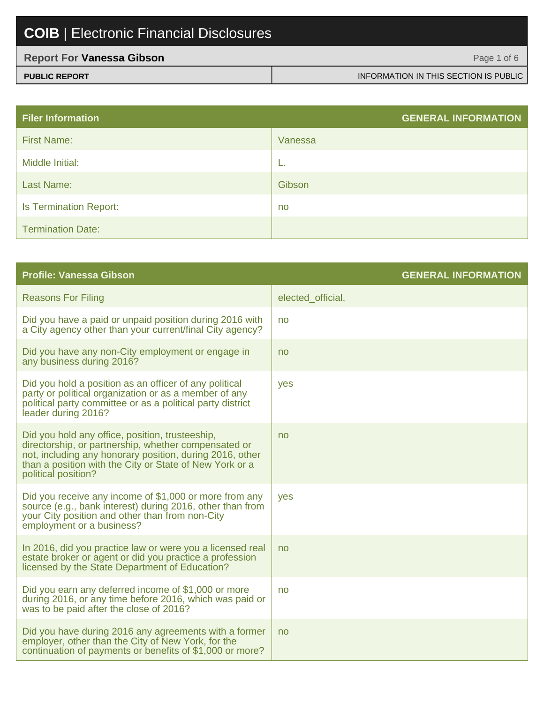| <b>Report For Vanessa Gibson</b> | Page 1 of 6                           |
|----------------------------------|---------------------------------------|
| <b>PUBLIC REPORT</b>             | INFORMATION IN THIS SECTION IS PUBLIC |

| <b>Filer Information</b>      | <b>GENERAL INFORMATION</b> |
|-------------------------------|----------------------------|
| <b>First Name:</b>            | Vanessa                    |
| Middle Initial:               | L.                         |
| <b>Last Name:</b>             | Gibson                     |
| <b>Is Termination Report:</b> | no                         |
| <b>Termination Date:</b>      |                            |

| <b>Profile: Vanessa Gibson</b>                                                                                                                                                                                                                        | <b>GENERAL INFORMATION</b> |
|-------------------------------------------------------------------------------------------------------------------------------------------------------------------------------------------------------------------------------------------------------|----------------------------|
| <b>Reasons For Filing</b>                                                                                                                                                                                                                             | elected official,          |
| Did you have a paid or unpaid position during 2016 with<br>a City agency other than your current/final City agency?                                                                                                                                   | no                         |
| Did you have any non-City employment or engage in<br>any business during 2016?                                                                                                                                                                        | no                         |
| Did you hold a position as an officer of any political<br>party or political organization or as a member of any<br>political party committee or as a political party district<br>leader during 2016?                                                  | yes                        |
| Did you hold any office, position, trusteeship,<br>directorship, or partnership, whether compensated or<br>not, including any honorary position, during 2016, other<br>than a position with the City or State of New York or a<br>political position? | no                         |
| Did you receive any income of \$1,000 or more from any<br>source (e.g., bank interest) during 2016, other than from<br>your City position and other than from non-City<br>employment or a business?                                                   | <b>ves</b>                 |
| In 2016, did you practice law or were you a licensed real<br>estate broker or agent or did you practice a profession<br>licensed by the State Department of Education?                                                                                | no                         |
| Did you earn any deferred income of \$1,000 or more<br>during 2016, or any time before 2016, which was paid or<br>was to be paid after the close of 2016?                                                                                             | no                         |
| Did you have during 2016 any agreements with a former<br>employer, other than the City of New York, for the<br>continuation of payments or benefits of \$1,000 or more?                                                                               | no                         |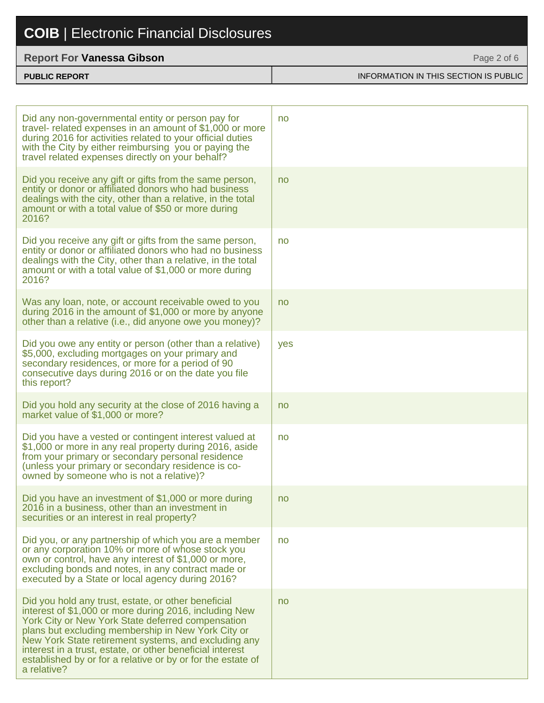#### **Report For Vanessa Gibson**

| <b>PUBLIC REPORT</b> | <b>INFORMATION IN THIS SECTION IS PUBLIC</b> |
|----------------------|----------------------------------------------|

Page 2 of 6

| Did any non-governmental entity or person pay for<br>travel- related expenses in an amount of \$1,000 or more<br>during 2016 for activities related to your official duties<br>with the City by either reimbursing you or paying the<br>travel related expenses directly on your behalf?                                                                                                                                    | no  |
|-----------------------------------------------------------------------------------------------------------------------------------------------------------------------------------------------------------------------------------------------------------------------------------------------------------------------------------------------------------------------------------------------------------------------------|-----|
| Did you receive any gift or gifts from the same person,<br>entity or donor or affiliated donors who had business<br>dealings with the city, other than a relative, in the total<br>amount or with a total value of \$50 or more during<br>2016?                                                                                                                                                                             | no  |
| Did you receive any gift or gifts from the same person,<br>entity or donor or affiliated donors who had no business<br>dealings with the City, other than a relative, in the total<br>amount or with a total value of \$1,000 or more during<br>2016?                                                                                                                                                                       | no  |
| Was any loan, note, or account receivable owed to you<br>during 2016 in the amount of \$1,000 or more by anyone<br>other than a relative (i.e., did anyone owe you money)?                                                                                                                                                                                                                                                  | no  |
| Did you owe any entity or person (other than a relative)<br>\$5,000, excluding mortgages on your primary and<br>secondary residences, or more for a period of 90<br>consecutive days during 2016 or on the date you file<br>this report?                                                                                                                                                                                    | yes |
| Did you hold any security at the close of 2016 having a<br>market value of \$1,000 or more?                                                                                                                                                                                                                                                                                                                                 | no  |
| Did you have a vested or contingent interest valued at<br>\$1,000 or more in any real property during 2016, aside<br>from your primary or secondary personal residence<br>(unless your primary or secondary residence is co-<br>owned by someone who is not a relative)?                                                                                                                                                    | no  |
| Did you have an investment of \$1,000 or more during<br>2016 in a business, other than an investment in<br>securities or an interest in real property?                                                                                                                                                                                                                                                                      | no. |
| Did you, or any partnership of which you are a member<br>or any corporation 10% or more of whose stock you<br>own or control, have any interest of \$1,000 or more,<br>excluding bonds and notes, in any contract made or<br>executed by a State or local agency during 2016?                                                                                                                                               | no  |
| Did you hold any trust, estate, or other beneficial<br>interest of \$1,000 or more during 2016, including New<br>York City or New York State deferred compensation<br>plans but excluding membership in New York City or<br>New York State retirement systems, and excluding any<br>interest in a trust, estate, or other beneficial interest<br>established by or for a relative or by or for the estate of<br>a relative? | no  |
|                                                                                                                                                                                                                                                                                                                                                                                                                             |     |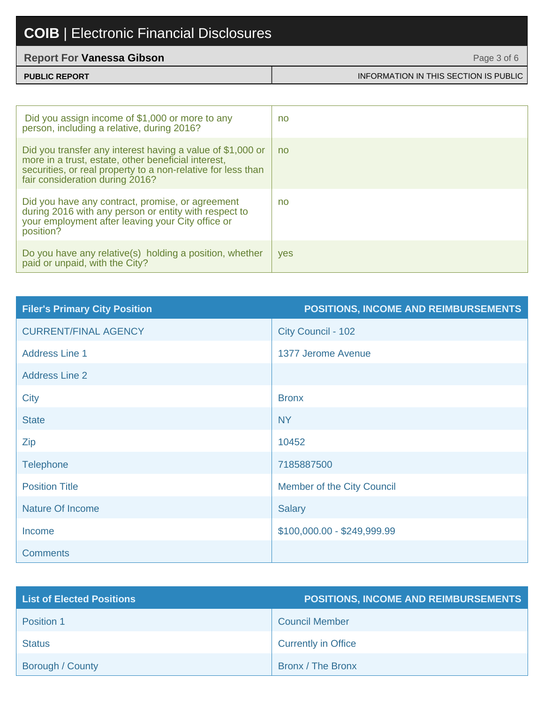#### **Report For Vanessa Gibson**

| <b>PUBLIC REPORT</b> | INFORMATION IN THIS SECTION IS PUBLIC |
|----------------------|---------------------------------------|

Page 3 of 6

| Did you assign income of \$1,000 or more to any<br>person, including a relative, during 2016?                                                                                                                        | no  |
|----------------------------------------------------------------------------------------------------------------------------------------------------------------------------------------------------------------------|-----|
| Did you transfer any interest having a value of \$1,000 or<br>more in a trust, estate, other beneficial interest,<br>securities, or real property to a non-relative for less than<br>fair consideration during 2016? | no  |
| Did you have any contract, promise, or agreement<br>during 2016 with any person or entity with respect to<br>your employment after leaving your City office or<br>position?                                          | no  |
| Do you have any relative(s) holding a position, whether<br>paid or unpaid, with the City?                                                                                                                            | yes |

| <b>Filer's Primary City Position</b> | <b>POSITIONS, INCOME AND REIMBURSEMENTS</b> |
|--------------------------------------|---------------------------------------------|
| <b>CURRENT/FINAL AGENCY</b>          | City Council - 102                          |
| <b>Address Line 1</b>                | 1377 Jerome Avenue                          |
| <b>Address Line 2</b>                |                                             |
| <b>City</b>                          | <b>Bronx</b>                                |
| <b>State</b>                         | <b>NY</b>                                   |
| Zip                                  | 10452                                       |
| <b>Telephone</b>                     | 7185887500                                  |
| <b>Position Title</b>                | Member of the City Council                  |
| <b>Nature Of Income</b>              | <b>Salary</b>                               |
| Income                               | \$100,000.00 - \$249,999.99                 |
| <b>Comments</b>                      |                                             |

| <b>List of Elected Positions</b> | <b>POSITIONS, INCOME AND REIMBURSEMENTS</b> |
|----------------------------------|---------------------------------------------|
| Position 1                       | <b>Council Member</b>                       |
| <b>Status</b>                    | <b>Currently in Office</b>                  |
| Borough / County                 | Bronx / The Bronx                           |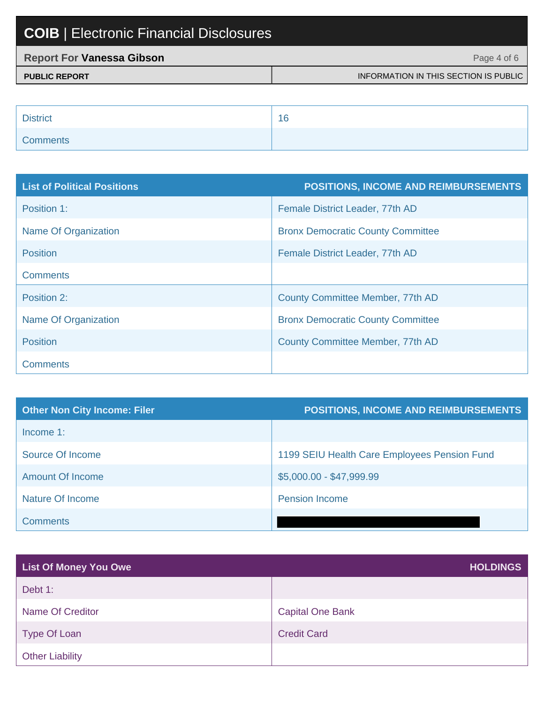| <b>Report For Vanessa Gibson</b> | Page 4 of 6                           |
|----------------------------------|---------------------------------------|
| <b>PUBLIC REPORT</b>             | INFORMATION IN THIS SECTION IS PUBLIC |
|                                  |                                       |

| <b>District</b> | 16 |
|-----------------|----|
| <b>Comments</b> |    |

| <b>List of Political Positions</b> | <b>POSITIONS, INCOME AND REIMBURSEMENTS</b> |
|------------------------------------|---------------------------------------------|
| Position 1:                        | Female District Leader, 77th AD             |
| Name Of Organization               | <b>Bronx Democratic County Committee</b>    |
| <b>Position</b>                    | Female District Leader, 77th AD             |
| <b>Comments</b>                    |                                             |
| Position 2:                        | County Committee Member, 77th AD            |
| Name Of Organization               | <b>Bronx Democratic County Committee</b>    |
| <b>Position</b>                    | County Committee Member, 77th AD            |
| <b>Comments</b>                    |                                             |

| <b>Other Non City Income: Filer</b> | <b>POSITIONS, INCOME AND REIMBURSEMENTS</b>  |
|-------------------------------------|----------------------------------------------|
| Income $1$ :                        |                                              |
| Source Of Income                    | 1199 SEIU Health Care Employees Pension Fund |
| <b>Amount Of Income</b>             | $$5,000.00 - $47,999.99$                     |
| <b>Nature Of Income</b>             | <b>Pension Income</b>                        |
| <b>Comments</b>                     |                                              |

| <b>List Of Money You Owe</b> | <b>HOLDINGS</b>         |
|------------------------------|-------------------------|
| Debt 1:                      |                         |
| <b>Name Of Creditor</b>      | <b>Capital One Bank</b> |
| <b>Type Of Loan</b>          | <b>Credit Card</b>      |
| <b>Other Liability</b>       |                         |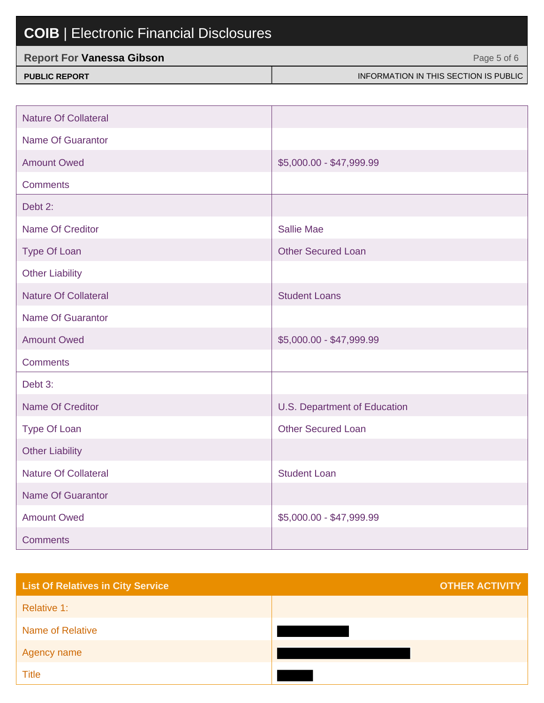| <b>Report For Vanessa Gibson</b> | Page 5 of 6                           |
|----------------------------------|---------------------------------------|
| <b>PUBLIC REPORT</b>             | INFORMATION IN THIS SECTION IS PUBLIC |

| <b>Nature Of Collateral</b> |                                     |
|-----------------------------|-------------------------------------|
| <b>Name Of Guarantor</b>    |                                     |
| <b>Amount Owed</b>          | \$5,000.00 - \$47,999.99            |
| <b>Comments</b>             |                                     |
| Debt 2:                     |                                     |
| <b>Name Of Creditor</b>     | <b>Sallie Mae</b>                   |
| <b>Type Of Loan</b>         | <b>Other Secured Loan</b>           |
| <b>Other Liability</b>      |                                     |
| <b>Nature Of Collateral</b> | <b>Student Loans</b>                |
| <b>Name Of Guarantor</b>    |                                     |
| <b>Amount Owed</b>          | \$5,000.00 - \$47,999.99            |
| <b>Comments</b>             |                                     |
| Debt 3:                     |                                     |
| <b>Name Of Creditor</b>     | <b>U.S. Department of Education</b> |
| Type Of Loan                | <b>Other Secured Loan</b>           |
| <b>Other Liability</b>      |                                     |
| <b>Nature Of Collateral</b> | <b>Student Loan</b>                 |
| <b>Name Of Guarantor</b>    |                                     |
| <b>Amount Owed</b>          | \$5,000.00 - \$47,999.99            |
| <b>Comments</b>             |                                     |

| <b>List Of Relatives in City Service</b> | <b>OTHER ACTIVITY</b> |
|------------------------------------------|-----------------------|
| <b>Relative 1:</b>                       |                       |
| <b>Name of Relative</b>                  |                       |
| Agency name                              |                       |
| <b>Title</b>                             |                       |